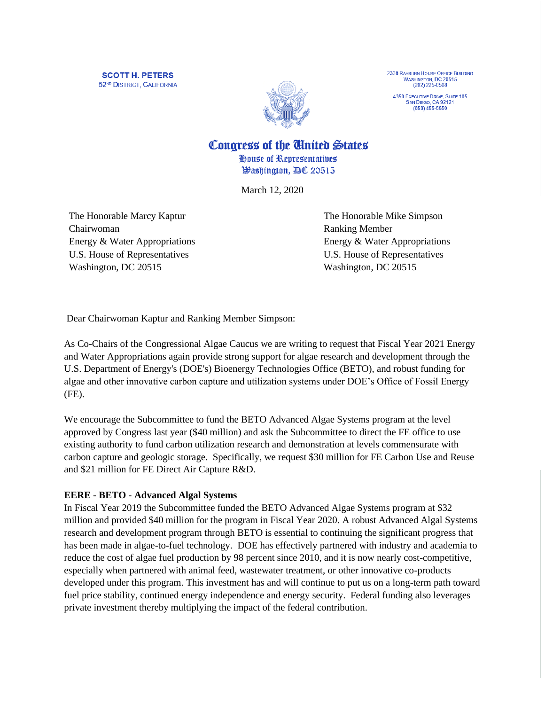**SCOTT H. PETERS** 52<sup>ND</sup> DISTRICT, CALIFORNIA



2338 RAYBURN HOUSE OFFICE BUILDING<br>WASHINGTON, DC 20515  $(202)$  225-0508

4350 EXECUTIVE DRIVE, SUITE 105<br>SAN DIEGO, CA 92121  $(858) 455 - 5550$ 

Congress of the Cinited States

House of Representatives *Washington, AC 20515* 

March 12, 2020

The Honorable Marcy Kaptur Chairwoman Energy & Water Appropriations U.S. House of Representatives Washington, DC 20515

The Honorable Mike Simpson Ranking Member Energy & Water Appropriations U.S. House of Representatives Washington, DC 20515

Dear Chairwoman Kaptur and Ranking Member Simpson:

As Co-Chairs of the Congressional Algae Caucus we are writing to request that Fiscal Year 2021 Energy and Water Appropriations again provide strong support for algae research and development through the U.S. Department of Energy's (DOE's) Bioenergy Technologies Office (BETO), and robust funding for algae and other innovative carbon capture and utilization systems under DOE's Office of Fossil Energy (FE).

We encourage the Subcommittee to fund the BETO Advanced Algae Systems program at the level approved by Congress last year (\$40 million) and ask the Subcommittee to direct the FE office to use existing authority to fund carbon utilization research and demonstration at levels commensurate with carbon capture and geologic storage. Specifically, we request \$30 million for FE Carbon Use and Reuse and \$21 million for FE Direct Air Capture R&D.

## **EERE - BETO - Advanced Algal Systems**

In Fiscal Year 2019 the Subcommittee funded the BETO Advanced Algae Systems program at \$32 million and provided \$40 million for the program in Fiscal Year 2020. A robust Advanced Algal Systems research and development program through BETO is essential to continuing the significant progress that has been made in algae-to-fuel technology. DOE has effectively partnered with industry and academia to reduce the cost of algae fuel production by 98 percent since 2010, and it is now nearly cost-competitive, especially when partnered with animal feed, wastewater treatment, or other innovative co-products developed under this program. This investment has and will continue to put us on a long-term path toward fuel price stability, continued energy independence and energy security. Federal funding also leverages private investment thereby multiplying the impact of the federal contribution.